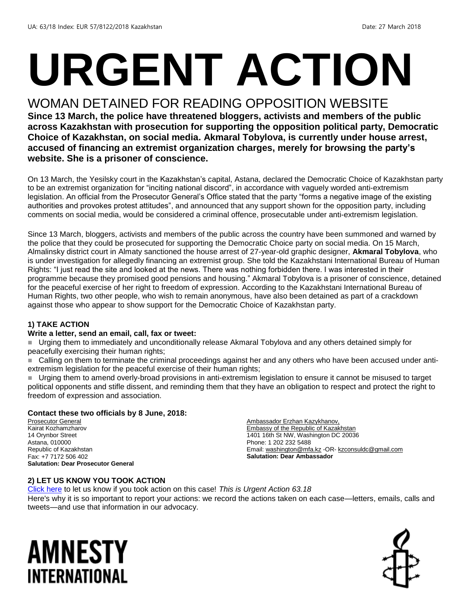# **URGENT ACTION**

#### WOMAN DETAINED FOR READING OPPOSITION WEBSITE

**Since 13 March, the police have threatened bloggers, activists and members of the public across Kazakhstan with prosecution for supporting the opposition political party, Democratic Choice of Kazakhstan, on social media. Akmaral Tobylova, is currently under house arrest, accused of financing an extremist organization charges, merely for browsing the party's website. She is a prisoner of conscience.**

On 13 March, the Yesilsky court in the Kazakhstan's capital, Astana, declared the Democratic Choice of Kazakhstan party to be an extremist organization for "inciting national discord", in accordance with vaguely worded anti-extremism legislation. An official from the Prosecutor General's Office stated that the party "forms a negative image of the existing authorities and provokes protest attitudes", and announced that any support shown for the opposition party, including comments on social media, would be considered a criminal offence, prosecutable under anti-extremism legislation.

Since 13 March, bloggers, activists and members of the public across the country have been summoned and warned by the police that they could be prosecuted for supporting the Democratic Choice party on social media. On 15 March, Almalinsky district court in Almaty sanctioned the house arrest of 27-year-old graphic designer, **Akmaral Tobylova**, who is under investigation for allegedly financing an extremist group. She told the Kazakhstani International Bureau of Human Rights: "I just read the site and looked at the news. There was nothing forbidden there. I was interested in their programme because they promised good pensions and housing." Akmaral Tobylova is a prisoner of conscience, detained for the peaceful exercise of her right to freedom of expression. According to the Kazakhstani International Bureau of Human Rights, two other people, who wish to remain anonymous, have also been detained as part of a crackdown against those who appear to show support for the Democratic Choice of Kazakhstan party.

#### **1) TAKE ACTION**

#### **Write a letter, send an email, call, fax or tweet:**

 Urging them to immediately and unconditionally release Akmaral Tobylova and any others detained simply for peacefully exercising their human rights;

 Calling on them to terminate the criminal proceedings against her and any others who have been accused under antiextremism legislation for the peaceful exercise of their human rights;

 Urging them to amend overly-broad provisions in anti-extremism legislation to ensure it cannot be misused to target political opponents and stifle dissent, and reminding them that they have an obligation to respect and protect the right to freedom of expression and association.

#### **Contact these two officials by 8 June, 2018:**

Prosecutor General Kairat Kozhamzharov 14 Orynbor Street Astana, 010000 Republic of Kazakhstan Fax: +7 7172 506 402 **Salutation: Dear Prosecutor General**

Ambassador Erzhan Kazykhanov, Embassy of the Republic of Kazakhstan 1401 16th St NW, Washington DC 20036 Phone: 1 202 232 5488 Email[: washington@mfa.kz](mailto:washington@mfa.kz) -OR- [kzconsuldc@gmail.com](mailto:kzconsuldc@gmail.com) **Salutation: Dear Ambassador**

#### **2) LET US KNOW YOU TOOK ACTION**

[Click here](https://www.amnestyusa.org/report-urgent-actions/) to let us know if you took action on this case! *This is Urgent Action 63.18* Here's why it is so important to report your actions: we record the actions taken on each case—letters, emails, calls and tweets—and use that information in our advocacy.

### AMNESTY INTERNATIONAL